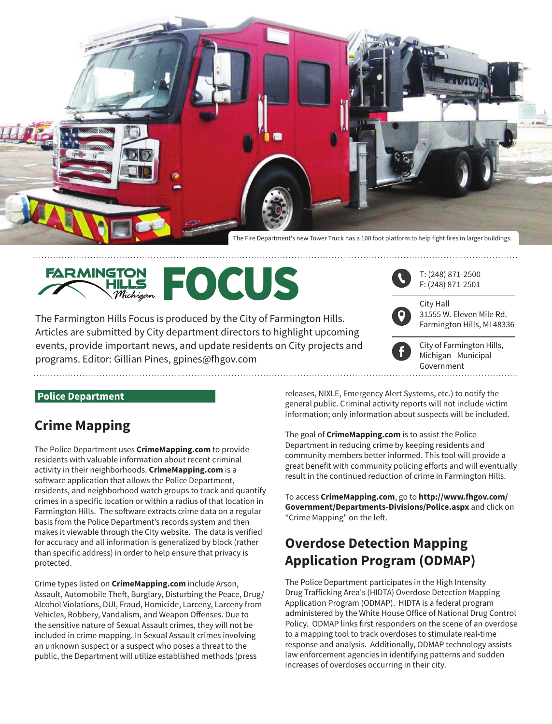

The Fire Department's new Tower Truck has a 100 foot platform to help fight fires in larger buildings.



The Farmington Hills Focus is produced by the City of Farmington Hills. Articles are submitted by City department directors to highlight upcoming events, provide important news, and update residents on City projects and programs. Editor: Gillian Pines, [gpines@fhgov.com](mailto:gpines@fhgov.com)



City Hall

31555 W. Eleven Mile Rd. Farmington Hills, MI 48336



City of Farmington Hills, Michigan - Municipal Government

#### **Police Department**

## **Crime Mapping**

The Police Department uses **CrimeMapping.com** to provide residents with valuable information about recent criminal activity in their neighborhoods. **CrimeMapping.com** is a software application that allows the Police Department, residents, and neighborhood watch groups to track and quantify crimes in a specific location or within a radius of that location in Farmington Hills. The software extracts crime data on a regular basis from the Police Department's records system and then makes it viewable through the City website. The data is verified for accuracy and all information is generalized by block (rather than specific address) in order to help ensure that privacy is protected.

Crime types listed on **CrimeMapping.com** include Arson, Assault, Automobile Theft, Burglary, Disturbing the Peace, Drug/ Alcohol Violations, DUI, Fraud, Homicide, Larceny, Larceny from Vehicles, Robbery, Vandalism, and Weapon Offenses. Due to the sensitive nature of Sexual Assault crimes, they will not be included in crime mapping. In Sexual Assault crimes involving an unknown suspect or a suspect who poses a threat to the public, the Department will utilize established methods (press

releases, NIXLE, Emergency Alert Systems, etc.) to notify the general public. Criminal activity reports will not include victim information; only information about suspects will be included.

The goal of **CrimeMapping.com** is to assist the Police Department in reducing crime by keeping residents and community members better informed. This tool will provide a great benefit with community policing efforts and will eventually result in the continued reduction of crime in Farmington Hills.

To access **CrimeMapping.com**, go to **<http://www.fhgov.com/> Government/Departments-Divisions/Police.aspx** and click on "Crime Mapping" on the left.

# **Overdose Detection Mapping Application Program (ODMAP)**

The Police Department participates in the High Intensity Drug Trafficking Area's (HIDTA) Overdose Detection Mapping Application Program (ODMAP). HIDTA is a federal program administered by the White House Office of National Drug Control Policy. ODMAP links first responders on the scene of an overdose to a mapping tool to track overdoses to stimulate real-time response and analysis. Additionally, ODMAP technology assists law enforcement agencies in identifying patterns and sudden increases of overdoses occurring in their city.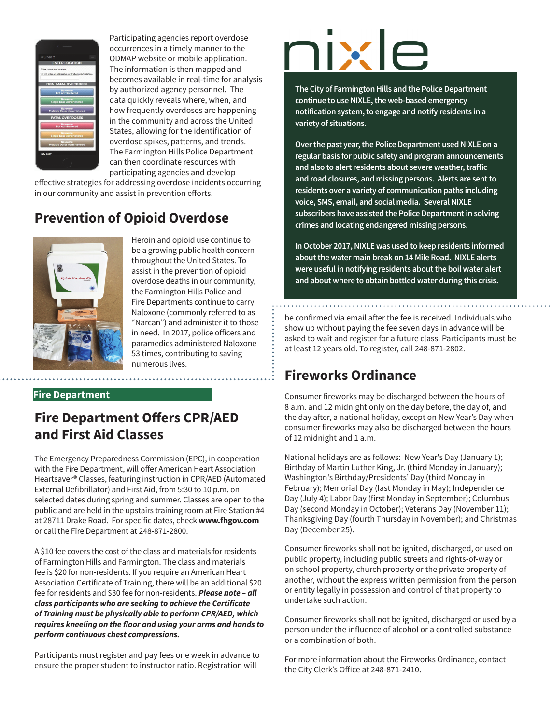

Participating agencies report overdose occurrences in a timely manner to the ODMAP website or mobile application. The information is then mapped and becomes available in real-time for analysis by authorized agency personnel. The data quickly reveals where, when, and how frequently overdoses are happening in the community and across the United States, allowing for the identification of overdose spikes, patterns, and trends. The Farmington Hills Police Department can then coordinate resources with participating agencies and develop

effective strategies for addressing overdose incidents occurring in our community and assist in prevention efforts.

# **Prevention of Opioid Overdose**



Heroin and opioid use continue to be a growing public health concern throughout the United States. To assist in the prevention of opioid overdose deaths in our community, the Farmington Hills Police and Fire Departments continue to carry Naloxone (commonly referred to as "Narcan") and administer it to those in need. In 2017, police officers and paramedics administered Naloxone 53 times, contributing to saving numerous lives.

#### **Fire Department**

# **Fire Department Offers CPR/AED and First Aid Classes**

The Emergency Preparedness Commission (EPC), in cooperation with the Fire Department, will offer American Heart Association Heartsaver® Classes, featuring instruction in CPR/AED (Automated External Defibrillator) and First Aid, from 5:30 to 10 p.m. on selected dates during spring and summer. Classes are open to the public and are held in the upstairs training room at Fire Station #4 at 28711 Drake Road. For specific dates, check **[www.fhgov.com](http://www.fhgov.com)** or call the Fire Department at 248-871-2800.

A \$10 fee covers the cost of the class and materials for residents of Farmington Hills and Farmington. The class and materials fee is \$20 for non-residents. If you require an American Heart Association Certificate of Training, there will be an additional \$20 fee for residents and \$30 fee for non-residents. *Please note – all class participants who are seeking to achieve the Certificate of Training must be physically able to perform CPR/AED, which requires kneeling on the floor and using your arms and hands to perform continuous chest compressions.*

Participants must register and pay fees one week in advance to ensure the proper student to instructor ratio. Registration will

# nixi

**The City of Farmington Hills and the Police Department continue to use NIXLE, the web-based emergency notification system, to engage and notify residents in a variety of situations.** 

**Over the past year, the Police Department used NIXLE on a regular basis for public safety and program announcements and also to alert residents about severe weather, traffic and road closures, and missing persons. Alerts are sent to residents over a variety of communication paths including voice, SMS, email, and social media. Several NIXLE subscribers have assisted the Police Department in solving crimes and locating endangered missing persons.**

**In October 2017, NIXLE was used to keep residents informed about the water main break on 14 Mile Road. NIXLE alerts were useful in notifying residents about the boil water alert and about where to obtain bottled water during this crisis.**

be confirmed via email after the fee is received. Individuals who show up without paying the fee seven days in advance will be asked to wait and register for a future class. Participants must be at least 12 years old. To register, call 248-871-2802.

# **Fireworks Ordinance**

Consumer fireworks may be discharged between the hours of 8 a.m. and 12 midnight only on the day before, the day of, and the day after, a national holiday, except on New Year's Day when consumer fireworks may also be discharged between the hours of 12 midnight and 1 a.m.

National holidays are as follows: New Year's Day (January 1); Birthday of Martin Luther King, Jr. (third Monday in January); Washington's Birthday/Presidents' Day (third Monday in February); Memorial Day (last Monday in May); Independence Day (July 4); Labor Day (first Monday in September); Columbus Day (second Monday in October); Veterans Day (November 11); Thanksgiving Day (fourth Thursday in November); and Christmas Day (December 25).

Consumer fireworks shall not be ignited, discharged, or used on public property, including public streets and rights-of-way or on school property, church property or the private property of another, without the express written permission from the person or entity legally in possession and control of that property to undertake such action.

Consumer fireworks shall not be ignited, discharged or used by a person under the influence of alcohol or a controlled substance or a combination of both.

For more information about the Fireworks Ordinance, contact the City Clerk's Office at 248-871-2410.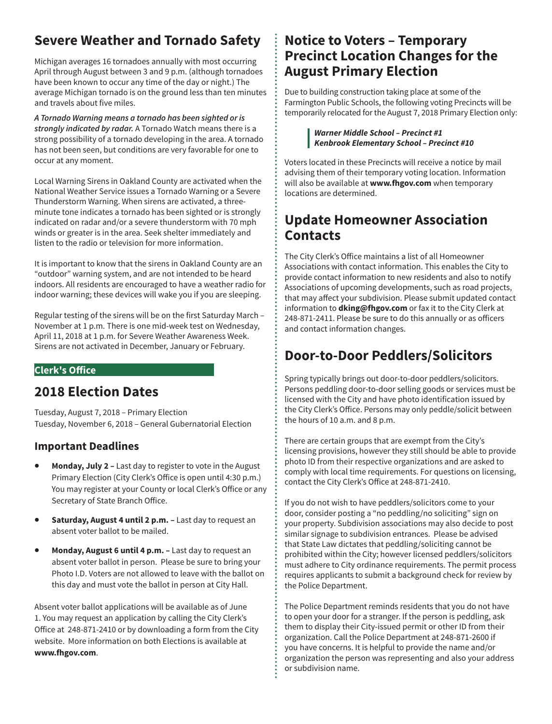# **Severe Weather and Tornado Safety**

Michigan averages 16 tornadoes annually with most occurring April through August between 3 and 9 p.m. (although tornadoes have been known to occur any time of the day or night.) The average Michigan tornado is on the ground less than ten minutes and travels about five miles.

*A Tornado Warning means a tornado has been sighted or is strongly indicated by radar.* A Tornado Watch means there is a strong possibility of a tornado developing in the area. A tornado has not been seen, but conditions are very favorable for one to occur at any moment.

Local Warning Sirens in Oakland County are activated when the National Weather Service issues a Tornado Warning or a Severe Thunderstorm Warning. When sirens are activated, a threeminute tone indicates a tornado has been sighted or is strongly indicated on radar and/or a severe thunderstorm with 70 mph winds or greater is in the area. Seek shelter immediately and listen to the radio or television for more information.

It is important to know that the sirens in Oakland County are an "outdoor" warning system, and are not intended to be heard indoors. All residents are encouraged to have a weather radio for indoor warning; these devices will wake you if you are sleeping.

Regular testing of the sirens will be on the first Saturday March – November at 1 p.m. There is one mid-week test on Wednesday, April 11, 2018 at 1 p.m. for Severe Weather Awareness Week. Sirens are not activated in December, January or February.

#### **Clerk's Office**

## **2018 Election Dates**

Tuesday, August 7, 2018 – Primary Election Tuesday, November 6, 2018 – General Gubernatorial Election

#### **Important Deadlines**

- **Monday, July 2 –** Last day to register to vote in the August Primary Election (City Clerk's Office is open until 4:30 p.m.) You may register at your County or local Clerk's Office or any Secretary of State Branch Office.
- **Saturday, August 4 until 2 p.m.** Last day to request an absent voter ballot to be mailed.
- **Monday, August 6 until 4 p.m.** Last day to request an absent voter ballot in person.Please be sure to bring your Photo I.D. Voters are not allowed to leave with the ballot on this day and must vote the ballot in person at City Hall.

Absent voter ballot applications will be available as of June 1. You may request an application by calling the City Clerk's Office at 248-871-2410 or by downloading a form from the City website. More information on both Elections is available at **[www.fhgov.com](http://www.fhgov.com)**.

## **Notice to Voters – Temporary Precinct Location Changes for the August Primary Election**

Due to building construction taking place at some of the Farmington Public Schools, the following voting Precincts will be temporarily relocated for the August 7, 2018 Primary Election only:

#### *Warner Middle School – Precinct #1 Kenbrook Elementary School – Precinct #10*

Voters located in these Precincts will receive a notice by mail advising them of their temporary voting location. Information will also be available at **[www.fhgov.com](http://www.fhgov.com)** when temporary locations are determined.

## **Update Homeowner Association Contacts**

The City Clerk's Office maintains a list of all Homeowner Associations with contact information. This enables the City to provide contact information to new residents and also to notify Associations of upcoming developments, such as road projects, that may affect your subdivision. Please submit updated contact information to **[dking@fhgov.com](mailto:dking@fhgov.com)** or fax it to the City Clerk at 248-871-2411. Please be sure to do this annually or as officers and contact information changes.

## **Door-to-Door Peddlers/Solicitors**

Spring typically brings out door-to-door peddlers/solicitors. Persons peddling door-to-door selling goods or services must be licensed with the City and have photo identification issued by the City Clerk's Office. Persons may only peddle/solicit between the hours of 10 a.m. and 8 p.m.

There are certain groups that are exempt from the City's licensing provisions, however they still should be able to provide photo ID from their respective organizations and are asked to comply with local time requirements. For questions on licensing, contact the City Clerk's Office at 248-871-2410.

If you do not wish to have peddlers/solicitors come to your door, consider posting a "no peddling/no soliciting" sign on your property. Subdivision associations may also decide to post similar signage to subdivision entrances. Please be advised that State Law dictates that peddling/soliciting cannot be prohibited within the City; however licensed peddlers/solicitors must adhere to City ordinance requirements. The permit process requires applicants to submit a background check for review by the Police Department.

The Police Department reminds residents that you do not have to open your door for a stranger. If the person is peddling, ask them to display their City-issued permit or other ID from their organization. Call the Police Department at 248-871-2600 if you have concerns. It is helpful to provide the name and/or organization the person was representing and also your address or subdivision name.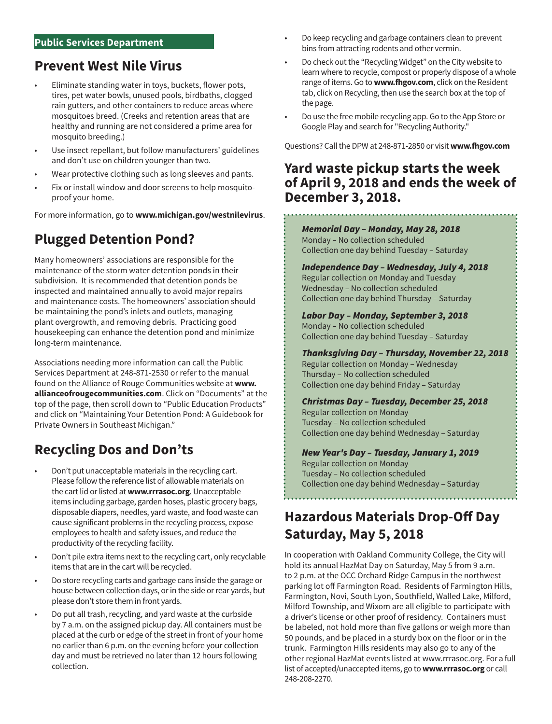#### **Public Services Department**

## **Prevent West Nile Virus**

- Eliminate standing water in toys, buckets, flower pots, tires, pet water bowls, unused pools, birdbaths, clogged rain gutters, and other containers to reduce areas where mosquitoes breed. (Creeks and retention areas that are healthy and running are not considered a prime area for mosquito breeding.)
- Use insect repellant, but follow manufacturers' guidelines and don't use on children younger than two.
- Wear protective clothing such as long sleeves and pants.
- Fix or install window and door screens to help mosquitoproof your home.

For more information, go to **[www.michigan.gov/westnilevirus](http://www.michigan.gov/westnilevirus)**.

# **Plugged Detention Pond?**

Many homeowners' associations are responsible for the maintenance of the storm water detention ponds in their subdivision. It is recommended that detention ponds be inspected and maintained annually to avoid major repairs and maintenance costs. The homeowners' association should be maintaining the pond's inlets and outlets, managing plant overgrowth, and removing debris. Practicing good housekeeping can enhance the detention pond and minimize long-term maintenance.

Associations needing more information can call the Public Services Department at 248-871-2530 or refer to the manual found on the Alliance of Rouge Communities website at **[www.](http://www.allianceofrougecommunities.com) [allianceofrougecommunities.com](http://www.allianceofrougecommunities.com)**. Click on "Documents" at the top of the page, then scroll down to "Public Education Products" and click on "Maintaining Your Detention Pond: A Guidebook for Private Owners in Southeast Michigan."

# **Recycling Dos and Don'ts**

- Don't put unacceptable materials in the recycling cart. Please follow the reference list of allowable materials on the cart lid or listed at **[www.rrrasoc.org](http://www.rrrasoc.org)**. Unacceptable items including garbage, garden hoses, plastic grocery bags, disposable diapers, needles, yard waste, and food waste can cause significant problems in the recycling process, expose employees to health and safety issues, and reduce the productivity of the recycling facility.
- Don't pile extra items next to the recycling cart, only recyclable items that are in the cart will be recycled.
- Do store recycling carts and garbage cans inside the garage or house between collection days, or in the side or rear yards, but please don't store them in front yards.
- Do put all trash, recycling, and yard waste at the curbside by 7 a.m. on the assigned pickup day. All containers must be placed at the curb or edge of the street in front of your home no earlier than 6 p.m. on the evening before your collection day and must be retrieved no later than 12 hours following collection.
- Do keep recycling and garbage containers clean to prevent bins from attracting rodents and other vermin.
- Do check out the "Recycling Widget" on the City website to learn where to recycle, compost or properly dispose of a whole range of items. Go to **[www.fhgov.com](http://www.fhgov.com)**, click on the Resident tab, click on Recycling, then use the search box at the top of the page.
- Do use the free mobile recycling app. Go to the App Store or Google Play and search for "Recycling Authority."

Questions? Call the DPW at 248-871-2850 or visit **[www.fhgov.com](http://www.fhgov.com)**

## **Yard waste pickup starts the week of April 9, 2018 and ends the week of December 3, 2018.**

*Memorial Day – Monday, May 28, 2018* Monday – No collection scheduled Collection one day behind Tuesday – Saturday

*Independence Day – Wednesday, July 4, 2018* Regular collection on Monday and Tuesday Wednesday – No collection scheduled Collection one day behind Thursday – Saturday

*Labor Day – Monday, September 3, 2018* Monday – No collection scheduled Collection one day behind Tuesday – Saturday

*Thanksgiving Day – Thursday, November 22, 2018* Regular collection on Monday – Wednesday Thursday – No collection scheduled Collection one day behind Friday – Saturday

*Christmas Day – Tuesday, December 25, 2018* Regular collection on Monday Tuesday – No collection scheduled Collection one day behind Wednesday – Saturday

### *New Year's Day – Tuesday, January 1, 2019*

Regular collection on Monday Tuesday – No collection scheduled Collection one day behind Wednesday – Saturday

# **Hazardous Materials Drop-Off Day Saturday, May 5, 2018**

In cooperation with Oakland Community College, the City will hold its annual HazMat Day on Saturday, May 5 from 9 a.m. to 2 p.m. at the OCC Orchard Ridge Campus in the northwest parking lot off Farmington Road. Residents of Farmington Hills, Farmington, Novi, South Lyon, Southfield, Walled Lake, Milford, Milford Township, and Wixom are all eligible to participate with a driver's license or other proof of residency. Containers must be labeled, not hold more than five gallons or weigh more than 50 pounds, and be placed in a sturdy box on the floor or in the trunk. Farmington Hills residents may also go to any of the other regional HazMat events listed at [www.rrrasoc.org. Fo](http://www.rrrasoc.org)r a full list of accepted/unaccepted items, go to **[www.rrrasoc.org](http://www.rrrasoc.org)** or call 248-208-2270.